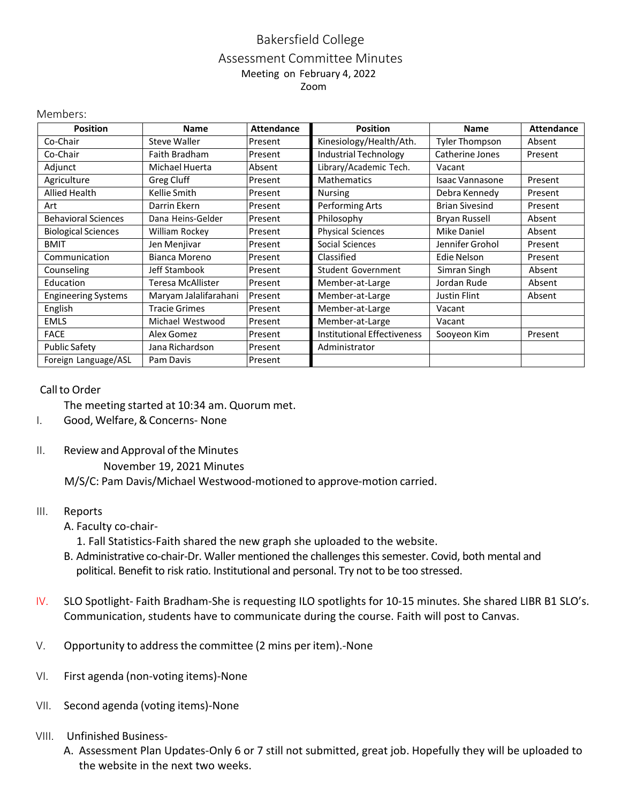## Bakersfield College Assessment Committee Minutes Meeting on February 4, 2022 Zoom

| <b>Position</b>            | <b>Name</b>           | <b>Attendance</b> | <b>Position</b>                    | <b>Name</b>            | <b>Attendance</b> |
|----------------------------|-----------------------|-------------------|------------------------------------|------------------------|-------------------|
| Co-Chair                   | <b>Steve Waller</b>   | Present           | Kinesiology/Health/Ath.            | <b>Tyler Thompson</b>  | Absent            |
| Co-Chair                   | Faith Bradham         | Present           | <b>Industrial Technology</b>       | Catherine Jones        | Present           |
| Adjunct                    | Michael Huerta        | Absent            | Library/Academic Tech.             | Vacant                 |                   |
| Agriculture                | Greg Cluff            | Present           | <b>Mathematics</b>                 | <b>Isaac Vannasone</b> | Present           |
| Allied Health              | Kellie Smith          | Present           | <b>Nursing</b>                     | Debra Kennedy          | Present           |
| Art                        | Darrin Ekern          | Present           | Performing Arts                    | <b>Brian Sivesind</b>  | Present           |
| <b>Behavioral Sciences</b> | Dana Heins-Gelder     | Present           | Philosophy                         | <b>Bryan Russell</b>   | Absent            |
| <b>Biological Sciences</b> | William Rockey        | Present           | <b>Physical Sciences</b>           | <b>Mike Daniel</b>     | Absent            |
| <b>BMIT</b>                | Jen Menjivar          | Present           | Social Sciences                    | Jennifer Grohol        | Present           |
| Communication              | Bianca Moreno         | Present           | Classified                         | Edie Nelson            | Present           |
| Counseling                 | Jeff Stambook         | Present           | Student Government                 | Simran Singh           | Absent            |
| Education                  | Teresa McAllister     | Present           | Member-at-Large                    | Jordan Rude            | Absent            |
| <b>Engineering Systems</b> | Maryam Jalalifarahani | Present           | Member-at-Large                    | Justin Flint           | Absent            |
| English                    | <b>Tracie Grimes</b>  | Present           | Member-at-Large                    | Vacant                 |                   |
| <b>EMLS</b>                | Michael Westwood      | Present           | Member-at-Large                    | Vacant                 |                   |
| <b>FACE</b>                | Alex Gomez            | Present           | <b>Institutional Effectiveness</b> | Sooyeon Kim            | Present           |
| <b>Public Safety</b>       | Jana Richardson       | Present           | Administrator                      |                        |                   |
| Foreign Language/ASL       | Pam Davis             | Present           |                                    |                        |                   |

## Call to Order

Members:

The meeting started at 10:34 am. Quorum met.

- I. Good, Welfare,&Concerns- None
- II. Review and Approval of the Minutes

November 19, 2021 Minutes

M/S/C: Pam Davis/Michael Westwood-motioned to approve-motion carried.

## III. Reports

A. Faculty co-chair-

1. Fall Statistics-Faith shared the new graph she uploaded to the website.

- B. Administrative co-chair-Dr. Waller mentioned the challenges this semester. Covid, both mental and political. Benefit to risk ratio. Institutional and personal. Try not to be too stressed.
- IV. SLO Spotlight- Faith Bradham-She is requesting ILO spotlights for 10-15 minutes. She shared LIBR B1 SLO's. Communication, students have to communicate during the course. Faith will post to Canvas.
- V. Opportunity to addressthe committee (2 mins per item).-None
- VI. First agenda (non-voting items)-None
- VII. Second agenda (voting items)-None
- VIII. Unfinished Business-
	- A. Assessment Plan Updates-Only 6 or 7 still not submitted, great job. Hopefully they will be uploaded to the website in the next two weeks.